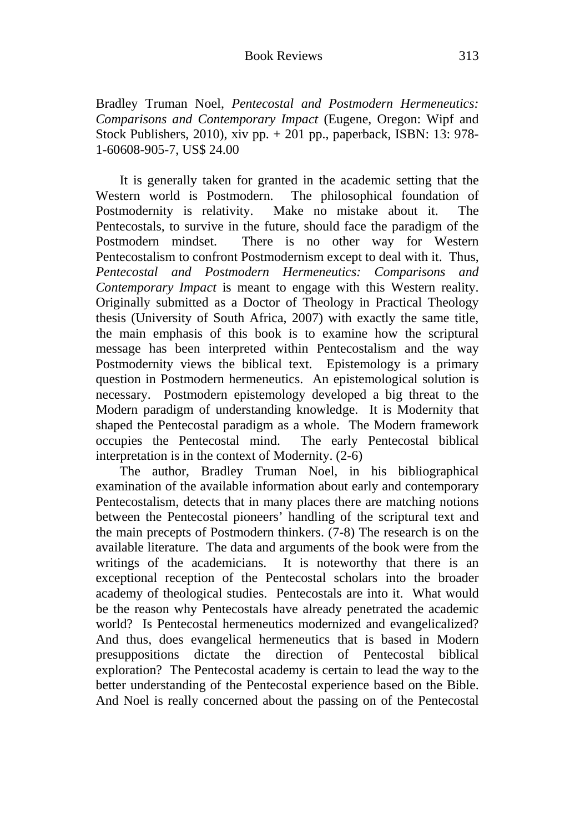Bradley Truman Noel, *Pentecostal and Postmodern Hermeneutics: Comparisons and Contemporary Impact* (Eugene, Oregon: Wipf and Stock Publishers, 2010), xiv pp. + 201 pp., paperback, ISBN: 13: 978- 1-60608-905-7, US\$ 24.00

It is generally taken for granted in the academic setting that the Western world is Postmodern. The philosophical foundation of Postmodernity is relativity. Make no mistake about it. The Pentecostals, to survive in the future, should face the paradigm of the Postmodern mindset. There is no other way for Western Pentecostalism to confront Postmodernism except to deal with it. Thus, *Pentecostal and Postmodern Hermeneutics: Comparisons and Contemporary Impact* is meant to engage with this Western reality. Originally submitted as a Doctor of Theology in Practical Theology thesis (University of South Africa, 2007) with exactly the same title, the main emphasis of this book is to examine how the scriptural message has been interpreted within Pentecostalism and the way Postmodernity views the biblical text. Epistemology is a primary question in Postmodern hermeneutics. An epistemological solution is necessary. Postmodern epistemology developed a big threat to the Modern paradigm of understanding knowledge. It is Modernity that shaped the Pentecostal paradigm as a whole. The Modern framework occupies the Pentecostal mind. The early Pentecostal biblical interpretation is in the context of Modernity. (2-6)

The author, Bradley Truman Noel, in his bibliographical examination of the available information about early and contemporary Pentecostalism, detects that in many places there are matching notions between the Pentecostal pioneers' handling of the scriptural text and the main precepts of Postmodern thinkers. (7-8) The research is on the available literature. The data and arguments of the book were from the writings of the academicians. It is noteworthy that there is an exceptional reception of the Pentecostal scholars into the broader academy of theological studies. Pentecostals are into it. What would be the reason why Pentecostals have already penetrated the academic world? Is Pentecostal hermeneutics modernized and evangelicalized? And thus, does evangelical hermeneutics that is based in Modern presuppositions dictate the direction of Pentecostal biblical exploration? The Pentecostal academy is certain to lead the way to the better understanding of the Pentecostal experience based on the Bible. And Noel is really concerned about the passing on of the Pentecostal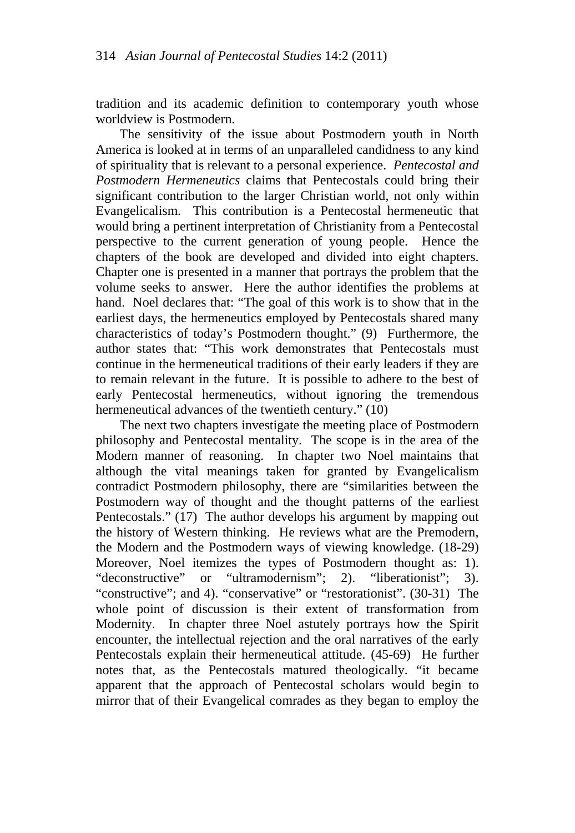tradition and its academic definition to contemporary youth whose worldview is Postmodern.

The sensitivity of the issue about Postmodern youth in North America is looked at in terms of an unparalleled candidness to any kind of spirituality that is relevant to a personal experience. *Pentecostal and Postmodern Hermeneutics* claims that Pentecostals could bring their significant contribution to the larger Christian world, not only within Evangelicalism. This contribution is a Pentecostal hermeneutic that would bring a pertinent interpretation of Christianity from a Pentecostal perspective to the current generation of young people. Hence the chapters of the book are developed and divided into eight chapters. Chapter one is presented in a manner that portrays the problem that the volume seeks to answer. Here the author identifies the problems at hand. Noel declares that: "The goal of this work is to show that in the earliest days, the hermeneutics employed by Pentecostals shared many characteristics of today's Postmodern thought." (9) Furthermore, the author states that: "This work demonstrates that Pentecostals must continue in the hermeneutical traditions of their early leaders if they are to remain relevant in the future. It is possible to adhere to the best of early Pentecostal hermeneutics, without ignoring the tremendous hermeneutical advances of the twentieth century." (10)

The next two chapters investigate the meeting place of Postmodern philosophy and Pentecostal mentality. The scope is in the area of the Modern manner of reasoning. In chapter two Noel maintains that although the vital meanings taken for granted by Evangelicalism contradict Postmodern philosophy, there are "similarities between the Postmodern way of thought and the thought patterns of the earliest Pentecostals." (17) The author develops his argument by mapping out the history of Western thinking. He reviews what are the Premodern, the Modern and the Postmodern ways of viewing knowledge. (18-29) Moreover, Noel itemizes the types of Postmodern thought as: 1). "deconstructive" or "ultramodernism"; 2). "liberationist"; 3). "constructive"; and 4). "conservative" or "restorationist". (30-31) The whole point of discussion is their extent of transformation from Modernity. In chapter three Noel astutely portrays how the Spirit encounter, the intellectual rejection and the oral narratives of the early Pentecostals explain their hermeneutical attitude. (45-69) He further notes that, as the Pentecostals matured theologically. "it became apparent that the approach of Pentecostal scholars would begin to mirror that of their Evangelical comrades as they began to employ the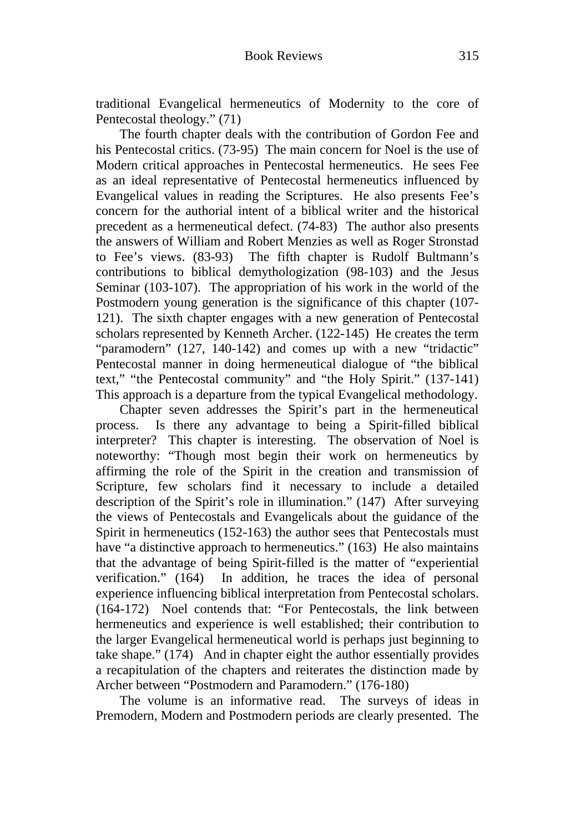traditional Evangelical hermeneutics of Modernity to the core of Pentecostal theology." (71)

The fourth chapter deals with the contribution of Gordon Fee and his Pentecostal critics. (73-95) The main concern for Noel is the use of Modern critical approaches in Pentecostal hermeneutics. He sees Fee as an ideal representative of Pentecostal hermeneutics influenced by Evangelical values in reading the Scriptures. He also presents Fee's concern for the authorial intent of a biblical writer and the historical precedent as a hermeneutical defect. (74-83) The author also presents the answers of William and Robert Menzies as well as Roger Stronstad to Fee's views. (83-93) The fifth chapter is Rudolf Bultmann's contributions to biblical demythologization (98-103) and the Jesus Seminar (103-107). The appropriation of his work in the world of the Postmodern young generation is the significance of this chapter (107- 121). The sixth chapter engages with a new generation of Pentecostal scholars represented by Kenneth Archer. (122-145) He creates the term "paramodern" (127, 140-142) and comes up with a new "tridactic" Pentecostal manner in doing hermeneutical dialogue of "the biblical text," "the Pentecostal community" and "the Holy Spirit." (137-141) This approach is a departure from the typical Evangelical methodology.

Chapter seven addresses the Spirit's part in the hermeneutical process. Is there any advantage to being a Spirit-filled biblical interpreter? This chapter is interesting. The observation of Noel is noteworthy: "Though most begin their work on hermeneutics by affirming the role of the Spirit in the creation and transmission of Scripture, few scholars find it necessary to include a detailed description of the Spirit's role in illumination." (147) After surveying the views of Pentecostals and Evangelicals about the guidance of the Spirit in hermeneutics (152-163) the author sees that Pentecostals must have "a distinctive approach to hermeneutics." (163) He also maintains that the advantage of being Spirit-filled is the matter of "experiential verification." (164) In addition, he traces the idea of personal experience influencing biblical interpretation from Pentecostal scholars. (164-172) Noel contends that: "For Pentecostals, the link between hermeneutics and experience is well established; their contribution to the larger Evangelical hermeneutical world is perhaps just beginning to take shape." (174) And in chapter eight the author essentially provides a recapitulation of the chapters and reiterates the distinction made by Archer between "Postmodern and Paramodern." (176-180)

The volume is an informative read. The surveys of ideas in Premodern, Modern and Postmodern periods are clearly presented. The